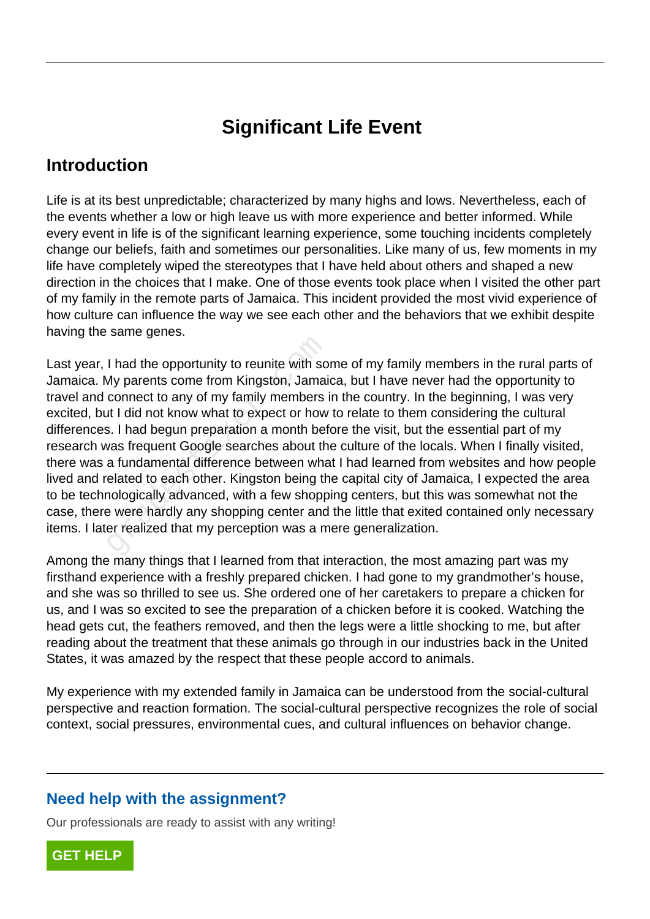# **Significant Life Event**

## **Introduction**

Life is at its best unpredictable; characterized by many highs and lows. Nevertheless, each of the events whether a low or high leave us with more experience and better informed. While every event in life is of the significant learning experience, some touching incidents completely change our beliefs, faith and sometimes our personalities. Like many of us, few moments in my life have completely wiped the stereotypes that I have held about others and shaped a new direction in the choices that I make. One of those events took place when I visited the other part of my family in the remote parts of Jamaica. This incident provided the most vivid experience of how culture can influence the way we see each other and the behaviors that we exhibit despite having the same genes.

Last year, I had the opportunity to reunite with some of my family members in the rural parts of Jamaica. My parents come from Kingston, Jamaica, but I have never had the opportunity to travel and connect to any of my family members in the country. In the beginning, I was very excited, but I did not know what to expect or how to relate to them considering the cultural differences. I had begun preparation a month before the visit, but the essential part of my research was frequent Google searches about the culture of the locals. When I finally visited, there was a fundamental difference between what I had learned from websites and how people lived and related to each other. Kingston being the capital city of Jamaica, I expected the area to be technologically advanced, with a few shopping centers, but this was somewhat not the case, there were hardly any shopping center and the little that exited contained only necessary items. I later realized that my perception was a mere generalization. I had the opportunity to reunite with so<br>My parents come from Kingston, Jamai<br>connect to any of my family members i<br>at I did not know what to expect or how<br>s. I had begun preparation a month bef<br>was frequent Google searche

Among the many things that I learned from that interaction, the most amazing part was my firsthand experience with a freshly prepared chicken. I had gone to my grandmother's house, and she was so thrilled to see us. She ordered one of her caretakers to prepare a chicken for us, and I was so excited to see the preparation of a chicken before it is cooked. Watching the head gets cut, the feathers removed, and then the legs were a little shocking to me, but after reading about the treatment that these animals go through in our industries back in the United States, it was amazed by the respect that these people accord to animals.

My experience with my extended family in Jamaica can be understood from the social-cultural perspective and reaction formation. The social-cultural perspective recognizes the role of social context, social pressures, environmental cues, and cultural influences on behavior change.

#### **Need help with the assignment?**

Our professionals are ready to assist with any writing!

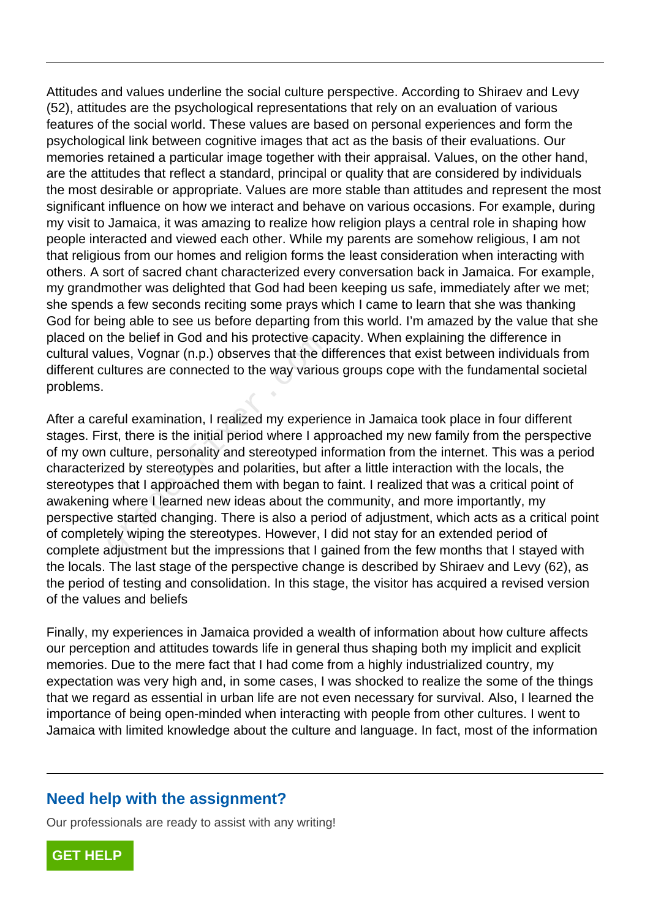Attitudes and values underline the social culture perspective. According to Shiraev and Levy (52), attitudes are the psychological representations that rely on an evaluation of various features of the social world. These values are based on personal experiences and form the psychological link between cognitive images that act as the basis of their evaluations. Our memories retained a particular image together with their appraisal. Values, on the other hand, are the attitudes that reflect a standard, principal or quality that are considered by individuals the most desirable or appropriate. Values are more stable than attitudes and represent the most significant influence on how we interact and behave on various occasions. For example, during my visit to Jamaica, it was amazing to realize how religion plays a central role in shaping how people interacted and viewed each other. While my parents are somehow religious, I am not that religious from our homes and religion forms the least consideration when interacting with others. A sort of sacred chant characterized every conversation back in Jamaica. For example, my grandmother was delighted that God had been keeping us safe, immediately after we met; she spends a few seconds reciting some prays which I came to learn that she was thanking God for being able to see us before departing from this world. I'm amazed by the value that she placed on the belief in God and his protective capacity. When explaining the difference in cultural values, Vognar (n.p.) observes that the differences that exist between individuals from different cultures are connected to the way various groups cope with the fundamental societal problems.

After a careful examination, I realized my experience in Jamaica took place in four different stages. First, there is the initial period where I approached my new family from the perspective of my own culture, personality and stereotyped information from the internet. This was a period characterized by stereotypes and polarities, but after a little interaction with the locals, the stereotypes that I approached them with began to faint. I realized that was a critical point of awakening where I learned new ideas about the community, and more importantly, my perspective started changing. There is also a period of adjustment, which acts as a critical point of completely wiping the stereotypes. However, I did not stay for an extended period of complete adjustment but the impressions that I gained from the few months that I stayed with the locals. The last stage of the perspective change is described by Shiraev and Levy (62), as the period of testing and consolidation. In this stage, the visitor has acquired a revised version of the values and beliefs the bellet in God and his protective cappules, Vognar (n.p.) observes that the d<br>altures are connected to the way various<br>fetul examination, I realized my experie<br>eful examination, I realized my experie<br>est, there is the i

Finally, my experiences in Jamaica provided a wealth of information about how culture affects our perception and attitudes towards life in general thus shaping both my implicit and explicit memories. Due to the mere fact that I had come from a highly industrialized country, my expectation was very high and, in some cases, I was shocked to realize the some of the things that we regard as essential in urban life are not even necessary for survival. Also, I learned the importance of being open-minded when interacting with people from other cultures. I went to Jamaica with limited knowledge about the culture and language. In fact, most of the information

#### **Need help with the assignment?**

Our professionals are ready to assist with any writing!

**[GET HELP](https://my.gradesfixer.com/order?utm_campaign=pdf_sample)**